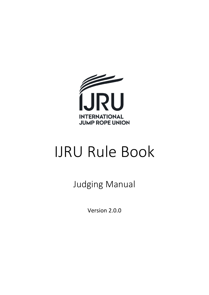

# IJRU Rule Book

Judging Manual

Version 2.0.0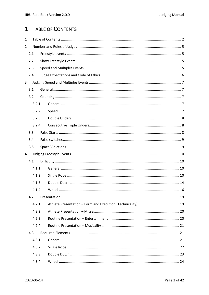# <span id="page-1-0"></span>1 TABLE OF CONTENTS

| $\mathbf{1}$   |       |  |  |  |  |  |
|----------------|-------|--|--|--|--|--|
| $\overline{2}$ |       |  |  |  |  |  |
|                | 2.1   |  |  |  |  |  |
|                | 2.2   |  |  |  |  |  |
|                | 2.3   |  |  |  |  |  |
|                | 2.4   |  |  |  |  |  |
| 3              |       |  |  |  |  |  |
|                | 3.1   |  |  |  |  |  |
|                | 3.2   |  |  |  |  |  |
|                | 3.2.1 |  |  |  |  |  |
|                | 3.2.2 |  |  |  |  |  |
|                | 3.2.3 |  |  |  |  |  |
|                | 3.2.4 |  |  |  |  |  |
|                | 3.3   |  |  |  |  |  |
|                | 3.4   |  |  |  |  |  |
|                | 3.5   |  |  |  |  |  |
| 4              |       |  |  |  |  |  |
|                | 4.1   |  |  |  |  |  |
|                | 4.1.1 |  |  |  |  |  |
|                | 4.1.2 |  |  |  |  |  |
|                | 4.1.3 |  |  |  |  |  |
|                | 4.1.4 |  |  |  |  |  |
|                | 4.2   |  |  |  |  |  |
|                | 4.2.1 |  |  |  |  |  |
|                | 4.2.2 |  |  |  |  |  |
|                | 4.2.3 |  |  |  |  |  |
|                | 4.2.4 |  |  |  |  |  |
|                | 4.3   |  |  |  |  |  |
|                | 4.3.1 |  |  |  |  |  |
|                | 4.3.2 |  |  |  |  |  |
|                | 4.3.3 |  |  |  |  |  |
|                | 4.3.4 |  |  |  |  |  |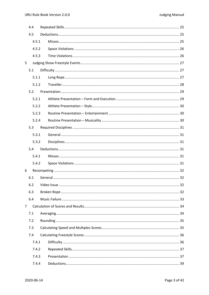|     | 4.4   |  |  |  |  |  |  |
|-----|-------|--|--|--|--|--|--|
| 4.5 |       |  |  |  |  |  |  |
|     | 4.5.1 |  |  |  |  |  |  |
|     | 4.5.2 |  |  |  |  |  |  |
|     | 4.5.3 |  |  |  |  |  |  |
| 5   |       |  |  |  |  |  |  |
|     | 5.1   |  |  |  |  |  |  |
|     | 5.1.1 |  |  |  |  |  |  |
|     | 5.1.2 |  |  |  |  |  |  |
|     | 5.2   |  |  |  |  |  |  |
|     | 5.2.1 |  |  |  |  |  |  |
|     | 5.2.2 |  |  |  |  |  |  |
|     | 5.2.3 |  |  |  |  |  |  |
|     | 5.2.4 |  |  |  |  |  |  |
|     | 5.3   |  |  |  |  |  |  |
|     | 5.3.1 |  |  |  |  |  |  |
|     | 5.3.2 |  |  |  |  |  |  |
|     | 5.4   |  |  |  |  |  |  |
|     | 5.4.1 |  |  |  |  |  |  |
|     | 5.4.2 |  |  |  |  |  |  |
| 6   |       |  |  |  |  |  |  |
|     | 6.1   |  |  |  |  |  |  |
|     | 6.2   |  |  |  |  |  |  |
|     | 6.3   |  |  |  |  |  |  |
|     | 6.4   |  |  |  |  |  |  |
| 7   |       |  |  |  |  |  |  |
|     | 7.1   |  |  |  |  |  |  |
|     | 7.2   |  |  |  |  |  |  |
|     | 7.3   |  |  |  |  |  |  |
|     | 7.4   |  |  |  |  |  |  |
|     | 7.4.1 |  |  |  |  |  |  |
|     | 7.4.2 |  |  |  |  |  |  |
|     | 7.4.3 |  |  |  |  |  |  |
|     | 7.4.4 |  |  |  |  |  |  |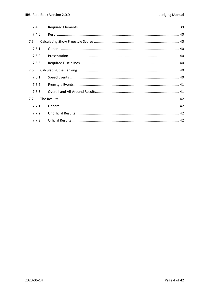| 7.4.5 |  |
|-------|--|
| 7.4.6 |  |
| 7.5   |  |
| 7.5.1 |  |
| 7.5.2 |  |
| 7.5.3 |  |
| 7.6   |  |
| 7.6.1 |  |
| 7.6.2 |  |
| 7.6.3 |  |
| 7.7   |  |
| 7.7.1 |  |
| 7.7.2 |  |
| 7.7.3 |  |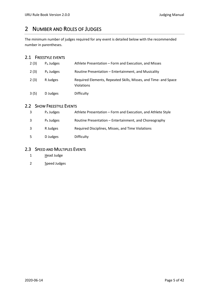# <span id="page-4-0"></span>2 NUMBER AND ROLES OF JUDGES

The minimum number of judges required for any event is detailed below with the recommended number in parentheses.

# <span id="page-4-1"></span>2.1 FREESTYLE EVENTS

| 2(3) | $P_A$ Judges | Athlete Presentation – Form and Execution, and Misses                         |
|------|--------------|-------------------------------------------------------------------------------|
| 2(3) | $P_R$ Judges | Routine Presentation - Entertainment, and Musicality                          |
| 2(3) | R Judges     | Required Elements, Repeated Skills, Misses, and Time- and Space<br>Violations |
| 3(5) | D Judges     | <b>Difficulty</b>                                                             |

# <span id="page-4-2"></span>2.2 SHOW FREESTYLE EVENTS

| 3  | $P_A$ Judges | Athlete Presentation - Form and Execution, and Athlete Style |
|----|--------------|--------------------------------------------------------------|
| 3  | $P_R$ Judges | Routine Presentation – Entertainment, and Choreography       |
| 3  | R Judges     | Required Disciplines, Misses, and Time Violations            |
| -5 | D Judges     | Difficulty                                                   |

# <span id="page-4-3"></span>2.3 SPEED AND MULTIPLES EVENTS

- 1 Head Judge
- 2 Speed Judges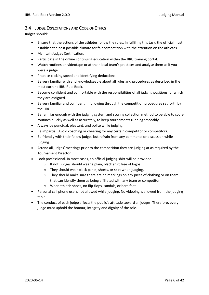# <span id="page-5-0"></span>2.4 JUDGE EXPECTATIONS AND CODE OF ETHICS

Judges should:

- Ensure that the actions of the athletes follow the rules. In fulfilling this task, the official must establish the best possible climate for fair competition with the attention on the athletes.
- Maintain Judges Certification.
- Participate in the online continuing education within the IJRU training portal.
- Watch routines on videotape or at their local team's practices and analyse them as if you were a judge.
- Practice clicking speed and identifying deductions.
- Be very familiar with and knowledgeable about all rules and procedures as described in the most current IJRU Rule Book.
- Become confident and comfortable with the responsibilities of all judging positions for which they are assigned.
- Be very familiar and confident in following through the competition procedures set forth by the IJRU.
- Be familiar enough with the judging system and scoring collection method to be able to score routines quickly as well as accurately, to keep tournaments running smoothly.
- Always be punctual, pleasant, and polite while judging.
- Be impartial. Avoid coaching or cheering for any certain competitor or competitors.
- Be friendly with their fellow judges but refrain from any comments or discussion while judging.
- Attend all judges' meetings prior to the competition they are judging at as required by the Tournament Director.
- Look professional. In most cases, an official judging shirt will be provided.
	- o If not, judges should wear a plain, black shirt free of logos.
	- o They should wear black pants, shorts, or skirt when judging.
	- $\circ$  They should make sure there are no markings on any piece of clothing or on them that can identify them as being affiliated with any team or competitor.
	- o Wear athletic shoes, no flip-flops, sandals, or bare feet.
- Personal cell phone use is not allowed while judging. No videoing is allowed from the judging table.
- The conduct of each judge affects the public's attitude toward all judges. Therefore, every judge must uphold the honour, integrity and dignity of the role.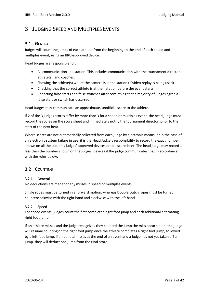# <span id="page-6-0"></span>3 JUDGING SPEED AND MULTIPLES EVENTS

## <span id="page-6-1"></span>3.1 GENERAL

Judges will count the jumps of each athlete from the beginning to the end of each speed and multiples event, using an IJRU-approved device.

Head Judges are responsible for:

- All communication at a station. This includes communication with the tournament director, athlete(s), and coaches.
- Showing the athlete(s) where the camera is in the station (if video replay is being used)
- Checking that the correct athlete is at their station before the event starts.
- Reporting false starts and false switches after confirming that a majority of judges agree a false start or switch has occurred.

Head Judges may communicate an approximate, unofficial score to the athlete.

If 2 of the 3 judges scores differ by more than 3 for a speed or multiples event, the head judge must record the scores on the score sheet and immediately notify the tournament director, prior to the start of the next heat.

Where scores are not automatically collected from each judge by electronic means, or in the case of an electronic system failure in use, it is the Head Judge's responsibility to record the exact number shown on all the station's judges' approved devices onto a scoresheet. The head judge may record 1 less than the number shown on the judges' devices if the judge communicates that in accordance with the rules below.

# <span id="page-6-2"></span>3.2 COUNTING

#### <span id="page-6-3"></span>3.2.1 General

No deductions are made for any misses in speed or multiples events.

Single ropes must be turned in a forward motion, whereas Double Dutch ropes must be turned counterclockwise with the right hand and clockwise with the left hand.

#### <span id="page-6-4"></span>3.2.2 Speed

For speed events, judges count the first completed right foot jump and each additional alternating right foot jump.

If an athlete misses and the judge recognizes they counted the jump the miss occurred on, the judge will resume counting on the right foot jump once the athlete completes a right foot jump, followed by a left foot jump. If an athlete misses at the end of an event and a judge has not yet taken off a jump, they will deduct one jump from the final score.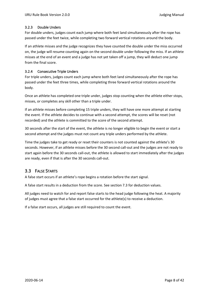#### <span id="page-7-0"></span>3.2.3 Double Unders

For double unders, judges count each jump where both feet land simultaneously after the rope has passed under the feet twice, while completing two forward vertical rotations around the body.

If an athlete misses and the judge recognizes they have counted the double under the miss occurred on, the judge will resume counting again on the second double under following the miss. If an athlete misses at the end of an event and a judge has not yet taken off a jump, they will deduct one jump from the final score.

#### <span id="page-7-1"></span>3.2.4 Consecutive Triple Unders

For triple unders, judges count each jump where both feet land simultaneously after the rope has passed under the feet three times, while completing three forward vertical rotations around the body.

Once an athlete has completed one triple under, judges stop counting when the athlete either stops, misses, or completes any skill other than a triple under.

If an athlete misses before completing 15 triple unders, they will have one more attempt at starting the event. If the athlete decides to continue with a second attempt, the scores will be reset (not recorded) and the athlete is committed to the score of the second attempt.

30 seconds after the start of the event, the athlete is no longer eligible to begin the event or start a second attempt and the judges must not count any triple unders performed by the athlete.

Time the judges take to get ready or reset their counters is not counted against the athlete's 30 seconds. However, if an athlete misses before the 30 second call-out and the judges are not ready to start again before the 30 seconds call-out, the athlete is allowed to start immediately after the judges are ready, even if that is after the 30 seconds call-out.

# <span id="page-7-2"></span>3.3 FALSE STARTS

A false start occurs if an athlete's rope begins a rotation before the start signal.

A false start results in a deduction from the score. See section [7.3](#page-34-1) for deduction values.

All judges need to watch for and report false starts to the head judge following the heat. A majority of judges must agree that a false start occurred for the athlete(s) to receive a deduction.

If a false start occurs, all judges are still required to count the event.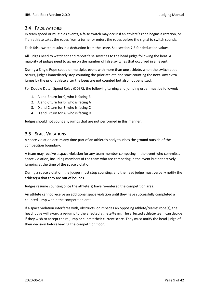# <span id="page-8-0"></span>3.4 FALSE SWITCHES

In team speed or multiples events, a false switch may occur if an athlete's rope begins a rotation, or if an athlete takes the ropes from a turner or enters the ropes before the signal to switch sounds.

Each false switch results in a deduction from the score. See section [7.3](#page-34-1) for deduction values.

All judges need to watch for and report false switches to the head judge following the heat. A majority of judges need to agree on the number of false switches that occurred in an event.

During a Single Rope speed or multiples event with more than one athlete, when the switch beep occurs, judges immediately stop counting the prior athlete and start counting the next. Any extra jumps by the prior athlete after the beep are not counted but also not penalized.

For Double Dutch Speed Relay (DDSR), the following turning and jumping order must be followed:

- 1. A and B turn for C, who is facing B
- 2. A and C turn for D, who is facing A
- 3. D and C turn for B, who is facing C
- 4. D and B turn for A, who is facing D

Judges should not count any jumps that are not performed in this manner.

# <span id="page-8-1"></span>3.5 SPACE VIOLATIONS

A space violation occurs any time part of an athlete's body touches the ground outside of the competition boundary.

A team may receive a space violation for any team member competing in the event who commits a space violation, including members of the team who are competing in the event but not actively jumping at the time of the space violation.

During a space violation, the judges must stop counting, and the head judge must verbally notify the athlete(s) that they are out of bounds.

Judges resume counting once the athlete(s) have re-entered the competition area.

An athlete cannot receive an additional space violation until they have successfully completed a counted jump within the competition area.

If a space violation interferes with, obstructs, or impedes an opposing athlete/teams' rope(s), the head judge will award a re-jump to the affected athlete/team. The affected athlete/team can decide if they wish to accept the re-jump or submit their current score. They must notify the head judge of their decision before leaving the competition floor.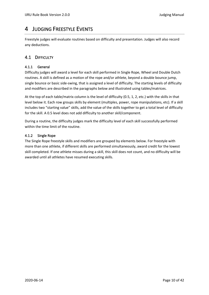# <span id="page-9-0"></span>4 JUDGING FREESTYLE EVENTS

Freestyle judges will evaluate routines based on difficulty and presentation. Judges will also record any deductions.

# <span id="page-9-1"></span>4.1 DIFFICULTY

#### <span id="page-9-2"></span>4.1.1 General

Difficulty judges will award a level for each skill performed in Single Rope, Wheel and Double Dutch routines. A skill is defined as a motion of the rope and/or athlete, beyond a double bounce jump, single bounce or basic side-swing, that is assigned a level of difficulty. The starting levels of difficulty and modifiers are described in the paragraphs below and illustrated using tables/matrices.

At the top of each table/matrix column is the level of difficulty (0.5, 1, 2, etc.) with the skills in that level below it. Each row groups skills by element (multiples, power, rope manipulations, etc). If a skill includes two "starting value" skills, add the value of the skills together to get a total level of difficulty for the skill. A 0.5 level does not add difficulty to another skill/component.

During a routine, the difficulty judges mark the difficulty level of each skill successfully performed within the time limit of the routine.

#### <span id="page-9-3"></span>4.1.2 Single Rope

The Single Rope freestyle skills and modifiers are grouped by elements below. For freestyle with more than one athlete, if different skills are performed simultaneously, award credit for the lowest skill completed. If one athlete misses during a skill, this skill does not count, and no difficulty will be awarded until all athletes have resumed executing skills.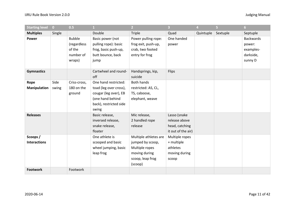| <b>Starting level</b>          | $\overline{0}$ | 0.5                                                           |                                                                                                        | $\overline{2}$                                                                                              | $\overline{3}$                                                        | 4         | 5        | 6 <sup>1</sup>                                                  |
|--------------------------------|----------------|---------------------------------------------------------------|--------------------------------------------------------------------------------------------------------|-------------------------------------------------------------------------------------------------------------|-----------------------------------------------------------------------|-----------|----------|-----------------------------------------------------------------|
| <b>Multiples</b>               | Single         |                                                               | Double                                                                                                 | <b>Triple</b>                                                                                               | Quad                                                                  | Quintuple | Sextuple | Septuple                                                        |
| Power                          |                | <b>Bubble</b><br>(regardless<br>of the<br>number of<br>wraps) | Basic power (not<br>pulling rope): basic<br>frog, basic push-up,<br>butt bounce, back<br>jump          | Power pulling rope:<br>frog exit, push-up,<br>crab, two footed<br>entry for frog                            | One handed<br>power                                                   |           |          | <b>Backwards</b><br>power:<br>examples-<br>darkside,<br>sunny D |
| <b>Gymnastics</b>              |                |                                                               | Cartwheel and round-<br>off                                                                            | Handsprings, kip,<br>suicide                                                                                | Flips                                                                 |           |          |                                                                 |
| Rope                           | Side           | Criss-cross,                                                  | One hand restricted:                                                                                   | <b>Both hands</b>                                                                                           |                                                                       |           |          |                                                                 |
| <b>Manipulation</b>            | swing          | 180 on the<br>ground                                          | toad (leg over cross),<br>cougar (leg over), EB<br>(one hand behind<br>back), restricted side<br>swing | restricted: AS, CL,<br>TS, caboose,<br>elephant, weave                                                      |                                                                       |           |          |                                                                 |
| <b>Releases</b>                |                |                                                               | Basic release,<br>inversed release,<br>snake release,<br>floater                                       | Mic release,<br>2 handled rope<br>release                                                                   | Lasso (snake<br>release above<br>head, catching<br>it out of the air) |           |          |                                                                 |
| Scoops/<br><b>Interactions</b> |                |                                                               | One athlete is<br>scooped and basic<br>wheel jumping, basic<br>leap frog                               | Multiple athletes are<br>jumped by scoop,<br>Multiple ropes<br>moving during<br>scoop, leap frog<br>(scoop) | Multiple ropes<br>+ multiple<br>athletes<br>moving during<br>scoop    |           |          |                                                                 |
| <b>Footwork</b>                |                | Footwork                                                      |                                                                                                        |                                                                                                             |                                                                       |           |          |                                                                 |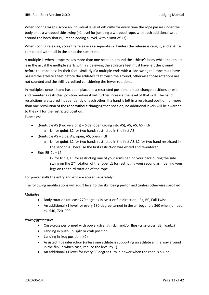When scoring wraps, score an individual level of difficulty for every time the rope passes under the body or as a wrapped side swing (+1 level for jumping a wrapped rope, with each additional wrap around the body that is jumped adding a level, with a limit of +3).

When scoring releases, score the release as a separate skill unless the release is caught, and a skill is completed with it all in the air at the same time.

A multiple is when a rope makes more than one rotation around the athlete's body while the athlete is in the air, if the multiple starts with a side-swing the athlete's feet must have left the ground before the rope pass by their feet, similarly if a multiple ends with a side-swing the rope must have passed the athlete's feet before the athlete's feet touch the ground, otherwise those rotations are not counted and the skill is credited considering the fewer rotations.

In multiples: once a hand has been placed in a restricted position, it must change positions or exit and re-enter a restricted position before it will further increase the level of that skill. The hand restrictions are scored independently of each other. If a hand is left in a restricted position for more than one revolution of the rope without changing that position, no additional levels will be awarded to the skill for the restricted position.

Examples:

- Quintuple AS (two versions) Side, open (going into AS), AS, AS, AS =  $L6$ 
	- o L4 for quint, L2 for two hands restricted in the first AS
- Quintuple AS Side, AS, open, AS, open = L8
	- $\circ$  L4 for quint, L2 for two hands restricted in the first AS, L2 for two hand restricted in the second AS because the first restriction was exited and re-entered
- $Side-FB-CI = I4$ 
	- $\circ$  L2 for triple, L1 for restricting one of your arms behind your back during the side swing on the  $2^{nd}$  rotation of the rope, L1 for restricting your second arm behind your legs on the third rotation of the rope

For power skills the entry and exit are scored separately

The following modifications will add 1 level to the skill being performed (unless otherwise specified):

#### *Multiples*

- Body rotation (at least 270 degrees in twist or flip direction): EK, BC, Full Twist
- An additional +1 level for every 180-degree turned in the air beyond a 360 when jumped ex. 540, 720, 900

#### *Power/gymnastics*

- Criss-cross performed with power/strength skill and/or flips (criss-cross, EB, Toad…)
- Landing in push-up, split or crab position
- Landing in frog position (+2)
- Assisted flips interaction (unless one athlete is supporting an athlete all the way around in the flip, in which case, reduce the level by 1)
- An additional +1 level for every 90 degree turn in power when the rope is pulled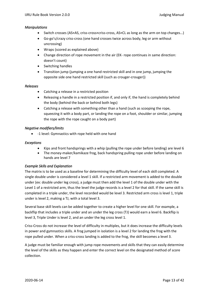#### *Manipulations*

- Switch crosses (AS×AS, criss-cross×criss-cross, AS×CL as long as the arm on top changes…)
- Go-go's/crazy criss-cross (one hand crosses twice across body, leg or arm without uncrossing)
- Wraps (scored as explained above)
- Change direction of rope movement in the air (EK- rope continues in same direction: doesn't count)
- Switching handles
- Transition jump (jumping a one hand restricted skill and in one jump, jumping the opposite side one hand restricted skill (such as crouger-crouger))

#### *Releases*

- Catching a release in a restricted position
- Releasing a handle in a restricted position if, and only if, the hand is completely behind the body (behind the back or behind both legs)
- Catching a release with something other than a hand (such as scooping the rope, squeezing it with a body part, or landing the rope on a foot, shoulder or similar, jumping the rope with the rope caught on a body part)

#### *Negative modifiers/limits*

• -1 level: Gymnastics with rope held with one hand

#### *Exceptions*

- Kips and front handsprings with a whip (pulling the rope under before landing) are level 6
- The money-maker/kamikaze frog, back handspring pulling rope under before landing on hands are level 7

#### *Example Skills and Explanation*

The matrix is to be used as a baseline for determining the difficulty level of each skill completed. A single double under is considered a level 1 skill. If a restricted arm movement is added to the double under (ex: double under leg cross), a judge must then add the level 1 of the double under with the Level 1 of a restricted arm, thus the level the judge records is a level 2 for that skill. If the same skill is completed in a triple under, the level recorded would be level 3. Restricted arm cross is level 1, triple under is level 2, making a TJ, with a total level 3.

Several base skill levels can be added together to create a higher level for one skill. For example, a backflip that includes a triple under and an under the leg cross (TJ) would earn a level 6. Backflip is level 3, Triple Under is level 2, and an under the leg cross level 1.

Criss-Cross do not increase the level of difficulty in multiples, but it does increase the difficulty levels in power and gymnastics skills. A frog jumped in isolation is a level 2 for landing the frog with the rope pulled under. When a criss-cross landing is added to the frog, the skill becomes a level 3.

A judge must be familiar enough with jump rope movements and skills that they can easily determine the level of the skills as they happen and enter the correct level on the designated method of score collection.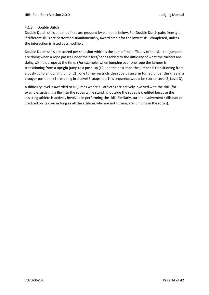#### <span id="page-13-0"></span>4.1.3 Double Dutch

Double Dutch skills and modifiers are grouped by elements below. For Double Dutch pairs freestyle, if different skills are performed simultaneously, award credit for the lowest skill completed, unless the interaction is listed as a modifier.

Double Dutch skills are scored per snapshot which is the sum of the difficulty of the skill the jumpers are doing when a rope passes under their feet/hands added to the difficulty of what the turners are doing with that rope at the time. (For example, when jumping over one rope the jumper is transitioning from a upright jump to a push-up (L2), on the next rope the jumper is transitioning from a push-up to an upright jump (L2), one turner restricts this rope by an arm turned under the knee in a crouger position (+1) resulting in a Level 3 snapshot. This sequence would be scored Level 2, Level 3).

A difficulty level is awarded to all jumps where all athletes are actively involved with the skill (for example, assisting a flip into the ropes while standing outside the ropes is credited because the assisting athlete is actively involved in performing the skill. Similarly, turner involvement skills can be credited on its own as long as all the athletes who are not turning are jumping in the ropes).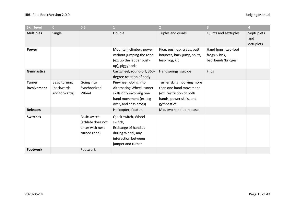| <b>Skill level</b> | $\bf{0}$             | 0.5                 |                                                                                                   |                                                                             | $\overline{3}$                                             | 4                              |
|--------------------|----------------------|---------------------|---------------------------------------------------------------------------------------------------|-----------------------------------------------------------------------------|------------------------------------------------------------|--------------------------------|
| <b>Multiples</b>   | Single               |                     | Double                                                                                            | Triples and quads                                                           | Quints and sextuples                                       | Septuplets<br>and<br>octuplets |
| Power              |                      |                     | Mountain climber, power<br>without jumping the rope<br>(ex: up the ladder push-<br>up), piggyback | Frog, push-up, crabs, butt<br>bounces, back jump, splits,<br>leap frog, kip | Hand hops, two-foot<br>frogs, v kick,<br>backbends/bridges |                                |
| <b>Gymnastics</b>  |                      |                     | Cartwheel, round-off, 360-<br>degree rotation of body                                             | Handsprings, suicide                                                        | Flips                                                      |                                |
| <b>Turner</b>      | <b>Basic turning</b> | Going into          | Pinwheel, Going into                                                                              | Turner skills involving more                                                |                                                            |                                |
| involvement        | (backwards           | Synchronized        | Alternating Wheel, turner                                                                         | than one hand movement                                                      |                                                            |                                |
|                    | and forwards)        | Wheel               | skills only involving one                                                                         | (ex: restriction of both                                                    |                                                            |                                |
|                    |                      |                     | hand movement (ex: leg                                                                            | hands, power skills, and                                                    |                                                            |                                |
|                    |                      |                     | over, and criss-cross)                                                                            | gymnastics)                                                                 |                                                            |                                |
| <b>Releases</b>    |                      |                     | Helicopter, floaters                                                                              | Mic, two handled release                                                    |                                                            |                                |
| <b>Switches</b>    |                      | <b>Basic switch</b> | Quick switch, Wheel                                                                               |                                                                             |                                                            |                                |
|                    |                      | (athlete does not   | switch,                                                                                           |                                                                             |                                                            |                                |
|                    |                      | enter with next     | Exchange of handles                                                                               |                                                                             |                                                            |                                |
|                    |                      | turned rope)        | during Wheel, any                                                                                 |                                                                             |                                                            |                                |
|                    |                      |                     | interaction between                                                                               |                                                                             |                                                            |                                |
|                    |                      |                     | jumper and turner                                                                                 |                                                                             |                                                            |                                |
| <b>Footwork</b>    |                      | Footwork            |                                                                                                   |                                                                             |                                                            |                                |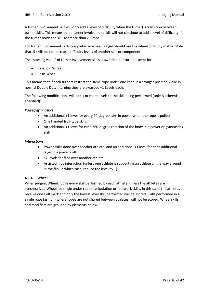A turner involvement skill will only add a level of difficulty when the turner(s) transition between turner skills. This means that a turner involvement skill will not continue to add a level of difficulty if the turner holds the skill for more than 2 jumps.

For turner involvement skills completed in wheel, judges should use the wheel difficulty matrix. Note that .5 skills do not increase difficulty levels of another skill or component.

The "starting value" of turner involvement skills is awarded per turner except for:

- Basic pin Wheel
- Basic Wheel

This means that if both turners restrict the same rope under one knee in a crouger position while in normal Double Dutch turning they are awarded +1 Levels each.

The following modifications will add 1 or more levels to the skill being performed (unless otherwise specified):

#### *Power/gymnastics*

- An additional +1 level for every 90-degree turn in power when the rope is pulled
- One handed frog-type skills
- An additional +1 level for each 360-degree rotation of the body in a power or gymnastics skill

#### *Interactions*

- Power skills done over another athlete, and an additional +1 level for each additional layer in a power skill
- +2 levels for flips over another athlete
- Assisted flips interaction (unless one athlete is supporting an athlete all the way around in the flip, in which case, reduce the level by 1)

#### <span id="page-15-0"></span>4.1.4 Wheel

When judging Wheel, judge every skill performed by each athlete, unless the athletes are in synchronized Wheel for single under rope manipulation or footwork skills. In this case, the athletes receive one skill mark and only the lowest level skill performed will be scored. Skills performed in a single rope fashion (where ropes are not shared between athletes) will not be scored. Wheel skills and modifiers are grouped by elements below.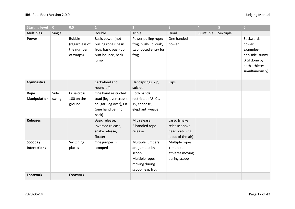| <b>Starting level</b>          | $\bullet$     | 0.5                                                        | $\mathbf{1}$                                                                                         | 2 <sup>1</sup>                                                                                     | $\overline{\mathbf{3}}$                                               | 4         | 5 <sup>1</sup> | 6 <sup>1</sup>                                                                                                  |
|--------------------------------|---------------|------------------------------------------------------------|------------------------------------------------------------------------------------------------------|----------------------------------------------------------------------------------------------------|-----------------------------------------------------------------------|-----------|----------------|-----------------------------------------------------------------------------------------------------------------|
| <b>Multiples</b>               | Single        |                                                            | Double                                                                                               | <b>Triple</b>                                                                                      | Quad                                                                  | Quintuple | Sextuple       |                                                                                                                 |
| Power                          |               | <b>Bubble</b><br>(regardless of<br>the number<br>of wraps) | Basic power (not<br>pulling rope): basic<br>frog, basic push-up,<br>butt bounce, back<br>jump        | Power pulling rope:<br>frog, push-up, crab,<br>two footed entry for<br>frog                        | One handed<br>power                                                   |           |                | <b>Backwards</b><br>power:<br>examples-<br>darkside, sunny<br>D (if done by<br>both athletes<br>simultaneously) |
| <b>Gymnastics</b>              |               |                                                            | Cartwheel and<br>round-off                                                                           | Handsprings, kip,<br>suicide                                                                       | Flips                                                                 |           |                |                                                                                                                 |
| Rope<br><b>Manipulation</b>    | Side<br>swing | Criss-cross,<br>180 on the<br>ground                       | One hand restricted:<br>toad (leg over cross),<br>cougar (leg over), EB<br>(one hand behind<br>back) | <b>Both hands</b><br>restricted: AS, CL,<br>TS, caboose,<br>elephant, weave                        |                                                                       |           |                |                                                                                                                 |
| <b>Releases</b>                |               |                                                            | Basic release,<br>Inversed release,<br>snake release,<br>floater                                     | Mic release,<br>2 handled rope<br>release                                                          | Lasso (snake<br>release above<br>head, catching<br>it out of the air) |           |                |                                                                                                                 |
| Scoops/<br><b>Interactions</b> |               | Switching<br>places                                        | One jumper is<br>scooped                                                                             | Multiple jumpers<br>are jumped by<br>scoop,<br>Multiple ropes<br>moving during<br>scoop, leap frog | Multiple ropes<br>+ multiple<br>athletes moving<br>during scoop       |           |                |                                                                                                                 |
| <b>Footwork</b>                |               | Footwork                                                   |                                                                                                      |                                                                                                    |                                                                       |           |                |                                                                                                                 |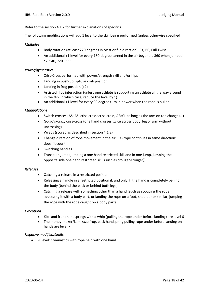Refer to the sectio[n 4.1.2](#page-9-3) for further explanations of specifics.

The following modifications will add 1 level to the skill being performed (unless otherwise specified):

#### *Multiples*

- Body rotation (at least 270 degrees in twist or flip direction): EK, BC, Full Twist
- An additional +1 level for every 180-degree turned in the air beyond a 360 when jumped ex. 540, 720, 900

#### *Power/gymnastics*

- Criss-Cross performed with power/strength skill and/or flips
- Landing in push-up, split or crab position
- Landing in frog position (+2)
- Assisted flips interaction (unless one athlete is supporting an athlete all the way around in the flip, in which case, reduce the level by 1)
- An additional +1 level for every 90 degree turn in power when the rope is pulled

#### *Manipulations*

- Switch crosses (AS×AS, criss-cross×criss-cross, AS×CL as long as the arm on top changes…)
- Go-go's/crazy criss-cross (one hand crosses twice across body, leg or arm without uncrossing)
- Wraps (scored as described in sectio[n 4.1.2\)](#page-9-3)
- Change direction of rope movement in the air (EK- rope continues in same direction: doesn't count)
- Switching handles
- Transition jump (jumping a one hand restricted skill and in one jump, jumping the opposite side one hand restricted skill (such as crouger-crouger))

#### *Releases*

- Catching a release in a restricted position
- Releasing a handle in a restricted position if, and only if, the hand is completely behind the body (behind the back or behind both legs)
- Catching a release with something other than a hand (such as scooping the rope, squeezing it with a body part, or landing the rope on a foot, shoulder or similar, jumping the rope with the rope caught on a body part)

#### *Exceptions*

- Kips and front handsprings with a whip (pulling the rope under before landing) are level 6
- The money-maker/kamikaze frog, back handspring pulling rope under before landing on hands are level 7

#### *Negative modifiers/limits*

• -1 level: Gymnastics with rope held with one hand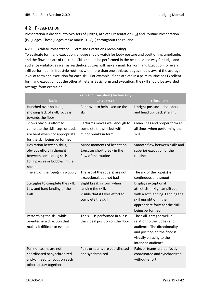# <span id="page-18-0"></span>4.2 PRESENTATION

Presentation is divided into two sets of judges, Athlete Presentation  $(P_A)$  and Routine Presentation (P<sub>R</sub>) judges. These judges make marks (+,  $\checkmark$ , -) throughout the routine.

## <span id="page-18-1"></span>4.2.1 Athlete Presentation – Form and Execution (Technicality)

To evaluate form and execution, a judge should watch for body posture and positioning, amplitude, and the flow and arc of the rope. Skills should be performed in the best possible way for judge and audience visibility, as well as aesthetics. Judges will make a mark for Form and Execution for every skill performed. In freestyle routines with more than one athlete, judges should award the average level of form and execution for each skill. For example, if one athlete in a pairs routine has Excellent form and execution but the other athlete as Basic form and execution, the skill should be awarded Average form execution.

|                                                             | <b>Form and Execution (Technicality)</b>           |                                       |  |  |  |  |
|-------------------------------------------------------------|----------------------------------------------------|---------------------------------------|--|--|--|--|
| - Basic                                                     | $\sqrt{\phantom{a}}$ Average                       | + Excellent                           |  |  |  |  |
| Hunched over position,                                      | Bent over to help execute the                      | Upright posture - shoulders           |  |  |  |  |
| showing lack of skill, focus is                             | skill                                              | and head up, back straight            |  |  |  |  |
| towards the floor                                           |                                                    |                                       |  |  |  |  |
| Shows obvious effort to                                     | Performs moves well enough to                      | Clean lines and proper form at        |  |  |  |  |
| complete the skill. Legs or back                            | complete the skill but with                        | all times when performing the         |  |  |  |  |
| are bent when not appropriate                               | minor breaks in form                               | skill                                 |  |  |  |  |
| for the skill being performed                               |                                                    |                                       |  |  |  |  |
| Hesitation between skills,                                  | Minor moments of hesitation.                       | Smooth flow between skills and        |  |  |  |  |
| obvious effort in thought                                   | Executes short break in the<br>flow of the routine | superior execution of the<br>routine. |  |  |  |  |
| between completing skills.<br>Long pauses or bobbles in the |                                                    |                                       |  |  |  |  |
| routine                                                     |                                                    |                                       |  |  |  |  |
| The arc of the rope(s) is wobbly                            | The arc of the rope(s) are not                     | The arc of the rope(s) is             |  |  |  |  |
|                                                             | exceptional, but not bad                           | continuous and smooth                 |  |  |  |  |
| Struggles to complete the skill.                            | Slight break in form when                          | Displays exceptional                  |  |  |  |  |
| Low and hard landing of the                                 | landing the skill.                                 | athleticism. High amplitude           |  |  |  |  |
| skill                                                       | Visible that it takes effort to                    | with a soft landing. Landing the      |  |  |  |  |
|                                                             | complete the skill                                 | skill upright or in the               |  |  |  |  |
|                                                             |                                                    | appropriate form for the skill        |  |  |  |  |
|                                                             |                                                    | being performed                       |  |  |  |  |
| Performing the skill while                                  | The skill is performed in a less                   | The skill is staged well in           |  |  |  |  |
| oriented in a direction that                                | than ideal position on the floor.                  | relation to the judges and            |  |  |  |  |
| makes it difficult to evaluate                              |                                                    | audience. The directionality          |  |  |  |  |
|                                                             |                                                    | and position on the floor is          |  |  |  |  |
|                                                             |                                                    | visually pleasing to the              |  |  |  |  |
|                                                             |                                                    | intended audience                     |  |  |  |  |
| Pairs or teams are not                                      | Pairs or teams are coordinated                     | Pairs or teams are perfectly          |  |  |  |  |
| coordinated or synchronized,                                | and synchronized                                   | coordinated and synchronized          |  |  |  |  |
| and/or need to focus on each                                |                                                    | without effort                        |  |  |  |  |
| other to stay together                                      |                                                    |                                       |  |  |  |  |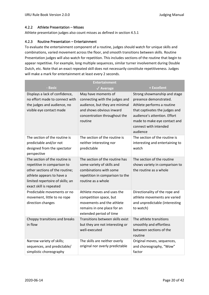#### <span id="page-19-0"></span>4.2.2 Athlete Presentation – Misses

Athlete presentation judges also count misses as defined in section [4.5.1](#page-24-2)

#### <span id="page-19-1"></span>4.2.3 Routine Presentation – Entertainment

To evaluate the entertainment component of a routine, judges should watch for unique skills and combinations, varied movement across the floor, and smooth transitions between skills. Routine Presentation judges will also watch for repetition. This includes sections of the routine that begin to appear repetitive. For example, long multiple sequences, similar turner involvement during Double Dutch, etc. Note that an exact repeated skill does not necessarily constitute repetitiveness. Judges will make a mark for entertainment at least every 2 seconds.

|                                                                                                                                                                                            | <b>Entertainment</b>                                                                                                                                           |                                                                                                                                                                                                                             |  |  |  |  |
|--------------------------------------------------------------------------------------------------------------------------------------------------------------------------------------------|----------------------------------------------------------------------------------------------------------------------------------------------------------------|-----------------------------------------------------------------------------------------------------------------------------------------------------------------------------------------------------------------------------|--|--|--|--|
| - Basic                                                                                                                                                                                    | $\sqrt{\phantom{a}}$ Average                                                                                                                                   | + Excellent                                                                                                                                                                                                                 |  |  |  |  |
| Displays a lack of confidence,<br>no effort made to connect with<br>the judges and audience, no<br>visible eye contact made                                                                | May have moments of<br>connecting with the judges and<br>audience, but they are minimal<br>and shows obvious inward<br>concentration throughout the<br>routine | Strong showmanship and stage<br>presence demonstrated.<br>Athlete performs a routine<br>that captivates the judges and<br>audience's attention. Effort<br>made to make eye contact and<br>connect with intended<br>audience |  |  |  |  |
| The section of the routine is<br>predictable and/or not<br>designed from the spectator<br>perspective                                                                                      | The section of the routine is<br>neither interesting nor<br>predictable                                                                                        | The section of the routine is<br>interesting and entertaining to<br>watch                                                                                                                                                   |  |  |  |  |
| The section of the routine is<br>repetitive in comparison to<br>other sections of the routine;<br>athlete appears to have a<br>limited repertoire of skills; an<br>exact skill is repeated | The section of the routine has<br>some variety of skills and<br>combinations with some<br>repetition in comparison to the<br>routine as a whole                | The section of the routine<br>shows variety in comparison to<br>the routine as a whole                                                                                                                                      |  |  |  |  |
| Predictable movements or no<br>movement, little to no rope<br>direction changes                                                                                                            | Athlete moves and uses the<br>competition space, but<br>movements and the athlete<br>remains in one place for an<br>extended period of time                    | Directionality of the rope and<br>athlete movements are varied<br>and unpredictable (interesting<br>to watch)                                                                                                               |  |  |  |  |
| Choppy transitions and breaks<br>in flow                                                                                                                                                   | Transitions between skills exist<br>but they are not interesting or<br>well-executed                                                                           | The athlete transitions<br>smoothly and effortless<br>between sections of the<br>routine                                                                                                                                    |  |  |  |  |
| Narrow variety of skills;<br>sequences, and predictable/<br>simplistic choreography                                                                                                        | The skills are neither overly<br>original nor overly predictable                                                                                               | Original moves, sequences,<br>and choreography, "Wow"<br>factor                                                                                                                                                             |  |  |  |  |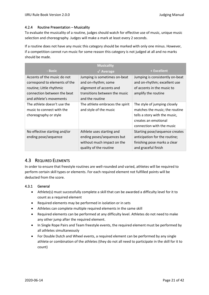#### <span id="page-20-0"></span>4.2.4 Routine Presentation – Musicality

To evaluate the musicality of a routine, judges should watch for effective use of music, unique music selection and choreography. Judges will make a mark at least every 2 seconds.

If a routine does not have any music this category should be marked with only one minus. However, if a competition cannot run music for some reason this category is not judged at all and no marks should be made.

| <b>Musicality</b>                                                                                                                                  |                                                                                                                                     |                                                                                                                                                      |  |  |  |
|----------------------------------------------------------------------------------------------------------------------------------------------------|-------------------------------------------------------------------------------------------------------------------------------------|------------------------------------------------------------------------------------------------------------------------------------------------------|--|--|--|
| - Basic                                                                                                                                            | $\sqrt{\phantom{a}}$ Average                                                                                                        | + Excellent                                                                                                                                          |  |  |  |
| Accents of the music do not<br>correspond to elements of the<br>routine; Little rhythmic<br>connection between the beat<br>and athlete's movements | Jumping is sometimes on-beat<br>and on-rhythm; some<br>alignment of accents and<br>transitions between the music<br>and the routine | Jumping is consistently on-beat<br>and on-rhythm; excellent use<br>of accents in the music to<br>amplify the routine                                 |  |  |  |
| The athlete doesn't use the<br>music to connect with the<br>choreography or style                                                                  | The athlete embraces the spirit<br>and style of the music                                                                           | The style of jumping closely<br>matches the music; the routine<br>tells a story with the music,<br>creates an emotional<br>connection with the music |  |  |  |
| No effective starting and/or<br>ending pose/sequence                                                                                               | Athlete uses starting and<br>ending poses/sequences but<br>without much impact on the<br>quality of the routine                     | Starting pose/sequence creates<br>anticipation for the routine;<br>finishing pose marks a clear<br>and graceful finish                               |  |  |  |

## <span id="page-20-1"></span>4.3 REQUIRED ELEMENTS

In order to ensure that freestyle routines are well-rounded and varied, athletes will be required to perform certain skill types or elements. For each required element not fulfilled points will be deducted from the score.

#### <span id="page-20-2"></span>4.3.1 General

- Athlete(s) must successfully complete a skill that can be awarded a difficulty level for it to count as a required element
- Required elements may be performed in isolation or in sets
- Athletes can complete multiple required elements in the same skill
- Required elements can be performed at any difficulty level. Athletes do not need to make any other jump after the required element.
- In Single Rope Pairs and Team freestyle events, the required element must be performed by all athletes simultaneously
- For Double Dutch and Wheel events, a required element can be performed by any single athlete or combination of the athletes (they do not all need to participate in the skill for it to count)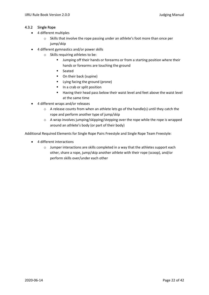#### <span id="page-21-0"></span>4.3.2 Single Rope

- 4 different multiples
	- o Skills that involve the rope passing under an athlete's foot more than once per jump/skip
- 4 different gymnastics and/or power skills
	- o Skills requiring athletes to be:
		- **■** Jumping off their hands or forearms or from a starting position where their hands or forearms are touching the ground
		- **Seated**
		- On their back (supine)
		- Lying facing the ground (prone)
		- In a crab or split position
		- Having their head pass below their waist level and feet above the waist level at the same time
- 4 different wraps and/or releases
	- o A release counts from when an athlete lets go of the handle(s) until they catch the rope and perform another type of jump/skip
	- o A wrap involves jumping/skipping/stepping over the rope while the rope is wrapped around an athlete's body (or part of their body)

Additional Required Elements for Single Rope Pairs Freestyle and Single Rope Team Freestyle:

- 4 different interactions
	- o Jumper interactions are skills completed in a way that the athletes support each other, share a rope, jump/skip another athlete with their rope (scoop), and/or perform skills over/under each other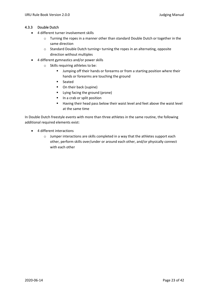#### <span id="page-22-0"></span>4.3.3 Double Dutch

- 4 different turner involvement skills
	- $\circ$  Turning the ropes in a manner other than standard Double Dutch or together in the same direction
	- o Standard Double Dutch turning= turning the ropes in an alternating, opposite direction without multiples
- 4 different gymnastics and/or power skills
	- o Skills requiring athletes to be:
		- **■** Jumping off their hands or forearms or from a starting position where their hands or forearms are touching the ground
		- Seated
		- On their back (supine)
		- Lying facing the ground (prone)
		- In a crab or split position
		- Having their head pass below their waist level and feet above the waist level at the same time

In Double Dutch freestyle events with more than three athletes in the same routine, the following additional required elements exist:

- 4 different interactions
	- o Jumper interactions are skills completed in a way that the athletes support each other, perform skills over/under or around each other, and/or physically connect with each other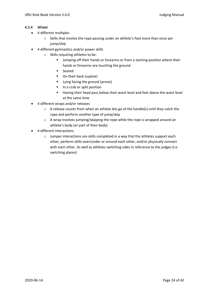#### <span id="page-23-0"></span>4.3.4 Wheel

- 4 different multiples
	- o Skills that involve the rope passing under an athlete's foot more than once per jump/skip
- 4 different gymnastics and/or power skills
	- o Skills requiring athletes to be:
		- **■** Jumping off their hands or forearms or from a starting position where their hands or forearms are touching the ground
		- Seated
		- On their back (supine)
		- Lying facing the ground (prone)
		- In a crab or split position
		- Having their head pass below their waist level and feet above the waist level at the same time
- 4 different wraps and/or releases
	- o A release counts from when an athlete lets go of the handle(s) until they catch the rope and perform another type of jump/skip
	- o A wrap involves jumping/skipping the rope while the rope is wrapped around an athlete's body (or part of their body)
- 4 different interactions
	- $\circ$  Jumper interactions are skills completed in a way that the athletes support each other, perform skills over/under or around each other, and/or physically connect with each other. As well as athletes switching sides in reference to the judges (I.e. switching places)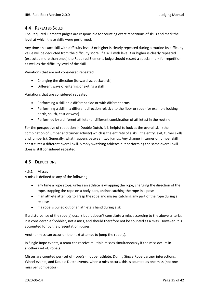# <span id="page-24-0"></span>4.4 REPEATED SKILLS

The Required Elements judges are responsible for counting exact repetitions of skills and mark the level at which these skills were performed.

Any time an exact skill with difficulty level 3 or higher is clearly repeated during a routine its difficulty value will be deducted from the difficulty score. If a skill with level 3 or higher is clearly repeated (executed more than once) the Required Elements judge should record a special mark for repetition as well as the difficulty level of the skill

Variations that are not considered repeated:

- Changing the direction (forward vs. backwards)
- Different ways of entering or exiting a skill

Variations that are considered repeated:

- Performing a skill on a different side or with different arms
- Performing a skill in a different direction relative to the floor or rope (for example looking north, south, east or west)
- Performed by a different athlete (or different combination of athletes) in the routine

For the perspective of repetition in Double Dutch, it is helpful to look at the overall skill (the combination of jumper and turner activity) which is the entirety of a skill: the entry, exit, turner skills and jumper(s). Generally, what happens between two jumps. Any change in turner or jumper skill constitutes a different overall skill. Simply switching athletes but performing the same overall skill does is still considered repeated.

## <span id="page-24-1"></span>4.5 DEDUCTIONS

#### <span id="page-24-2"></span>4.5.1 Misses

A miss is defined as any of the following:

- any time a rope stops, unless an athlete is wrapping the rope, changing the direction of the rope, trapping the rope on a body part, and/or catching the rope in a pose
- if an athlete attempts to grasp the rope and misses catching any part of the rope during a release
- if a rope is pulled out of an athlete's hand during a skill

If a disturbance of the rope(s) occurs but it doesn't constitute a miss according to the above criteria, it is considered a "bobble", not a miss, and should therefore not be counted as a miss. However, it is accounted for by the presentation judges.

Another miss can occur on the next attempt to jump the rope(s).

In Single Rope events, a team can receive multiple misses simultaneously if the miss occurs in another (set of) rope(s).

Misses are counted per (set of) rope(s), not per athlete. During Single Rope partner interactions, Wheel events, and Double Dutch events, when a miss occurs, this is counted as one miss (not one miss per competitor).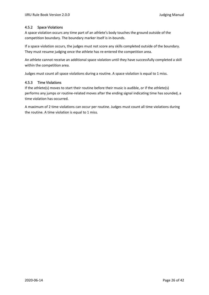#### <span id="page-25-0"></span>4.5.2 Space Violations

A space violation occurs any time part of an athlete's body touches the ground outside of the competition boundary. The boundary marker itself is in-bounds.

If a space violation occurs, the judges must not score any skills completed outside of the boundary. They must resume judging once the athlete has re-entered the competition area.

An athlete cannot receive an additional space violation until they have successfully completed a skill within the competition area.

Judges must count all space violations during a routine. A space violation is equal to 1 miss.

#### <span id="page-25-1"></span>4.5.3 Time Violations

If the athlete(s) moves to start their routine before their music is audible, or if the athlete(s) performs any jumps or routine-related moves after the ending signal indicating time has sounded, a time violation has occurred.

A maximum of 2 time violations can occur per routine. Judges must count all time violations during the routine. A time violation is equal to 1 miss.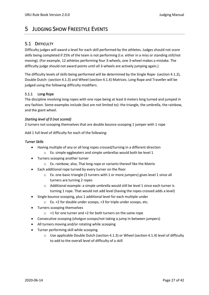# <span id="page-26-0"></span>5 JUDGING SHOW FREESTYLE EVENTS

# <span id="page-26-1"></span>5.1 DIFFICULTY

Difficulty judges will award a level for each skill performed by the athletes. Judges should not score skills being completed if 25% of the team is not performing (I.e. either in a miss or standing still/not moving). (For example, 12 athletes performing four 3-wheels, one 3-wheel makes a mistake. The difficulty judge should not award points until all 3-wheels are actively jumping again.)

The difficulty levels of skills being performed will be determined by the Single Rope- (section [4.1.2\)](#page-9-3), Double Dutch- (section [4.1.3\)](#page-13-0) and Wheel (section [4.1.4\)](#page-15-0) Matrices. Long Rope and Traveller will be judged using the following difficulty modifiers.

#### <span id="page-26-2"></span>5.1.1 Long Rope

The discipline involving long ropes with one rope being at least 6 meters long turned and jumped in any fashion. Some examples include (but are not limited to): the triangle, the umbrella, the rainbow, and the giant wheel.

#### *Starting level of 0 (not scored)*

2 turners not scooping themselves that are double bounce scooping 1 jumper with 1 rope

Add 1 full level of difficulty for each of the following:

#### *Turner Skills*

- Having multiple of any or all long ropes crossed/turning in a different direction o Ex. simple eggbeaters and simple umbrellas would both be level 1
- Turners scooping another turner
	- o Ex. rainbow; also, Thai long rope or variants thereof like the Matrix
- Each additional rope turned by every turner on the floor
	- $\circ$  Ex. one basic triangle (3 turners with 1 or more jumpers) gives level 1 since all turners are turning 2 ropes
	- o Additional example: a simple umbrella would still be level 1 since each turner is turning 1 rope. That would not add level (having the ropes crossed adds a level)
- Single bounce scooping, plus 1 additional level for each multiple under
	- o Ex. +2 for double under scoops, +3 for triple under scoops, etc.
- Turners scooping themselves
	- $\circ$  +1 for one turner and +2 for both turners on the same rope
- Consecutive scooping (shotgun scoops/not taking a jump in between jumpers)
- All turners moving and/or rotating while scooping
- Turner performing skill while scooping
	- $\circ$  Use applicable Double Dutch (section [4.1.3\)](#page-13-0) or Wheel (section [4.1.4\)](#page-15-0) level of difficulty to add to the overall level of difficulty of a skill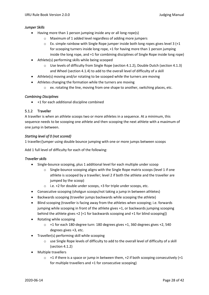#### *Jumper Skills*

- Having more than 1 person jumping inside any or all long rope(s)
	- o Maximum of 1 added level regardless of adding more jumpers
	- o Ex. simple rainbow with Single Rope jumper inside both long ropes gives level 3 (+1 for scooping turners inside long rope, +1 for having more than 1 person jumping inside the long rope, and +1 for combining disciplines of Single Rope inside long rope)
- Athlete(s) performing skills while being scooped
	- $\circ$  Use levels of difficulty from Single Rope (section [4.1.2\)](#page-9-3), Double Dutch (sectio[n 4.1.3\)](#page-13-0) and Wheel (sectio[n 4.1.4\)](#page-15-0) to add to the overall level of difficulty of a skill
- Athlete(s) moving and/or rotating to be scooped while the turners are moving
- Athletes changing the formation while the turners are moving
	- o ex. rotating the line, moving from one shape to another, switching places, etc.

#### *Combining Disciplines*

• +1 for each additional discipline combined

#### <span id="page-27-0"></span>5.1.2 Traveller

A traveller is when an athlete scoops two or more athletes in a sequence. At a minimum, this sequence needs to be scooping one athlete and then scooping the next athlete with a maximum of one jump in between.

#### *Starting level of 0 (not scored)*

1 traveller/jumper using double bounce jumping with one or more jumps between scoops

Add 1 full level of difficulty for each of the following:

#### *Traveller skills*

- Single-bounce scooping, plus 1 additional level for each multiple under scoop
	- $\circ$  Single-bounce scooping aligns with the Single Rope matrix scoops (level 1 if one athlete is scooped by a traveller; level 2 if both the athlete and the traveller are jumped by the scoop)
	- o i.e. +2 for double under scoops, +3 for triple under scoops, etc.
- Consecutive scooping (shotgun scoops/not taking a jump in between athletes)
- Backwards scooping (traveller jumps backwards while scooping the athlete)
- Blind scooping (traveller is facing away from the athletes when scooping; i.e. forwards jumping while scooping in front of the athlete gives +1, or backwards jumping scooping behind the athlete gives +2 [+1 for backwards scooping and +1 for blind scooping])
- Rotating while scooping
	- o +1 for each 180-degree turn: 180 degrees gives +1, 360 degrees gives +2, 540 degrees gives +3, etc.
- Traveller(s) performing skill while scooping
	- o use Single Rope levels of difficulty to add to the overall level of difficulty of a skill (section [4.1.2\)](#page-9-3)
- Multiple travellers
	- $\circ$  +1 if there is a space or jump in between them, +2 if both scooping consecutively (+1 for multiple travellers and +1 for consecutive scooping)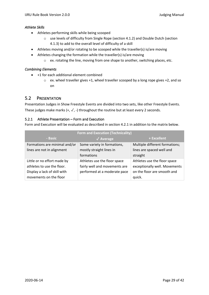#### *Athlete Skills*

- Athletes performing skills while being scooped
	- $\circ$  use levels of difficulty from Single Rope (section [4.1.2\)](#page-9-3) and Double Dutch (section [4.1.3\)](#page-13-0) to add to the overall level of difficulty of a skill
- Athletes moving and/or rotating to be scooped while the traveller(s) is/are moving
- Athletes changing the formation while the traveller(s) is/are moving
	- o ex. rotating the line, moving from one shape to another, switching places, etc.

#### *Combining Elements*

- +1 for each additional element combined
	- o ex. wheel traveller gives +1, wheel traveller scooped by a long rope gives +2, and so on

# <span id="page-28-0"></span>5.2 PRESENTATION

Presentation Judges in Show Freestyle Events are divided into two sets, like other Freestyle Events. These judges make marks (+,  $\sqrt{ }$ , -) throughout the routine but at least every 2 seconds.

#### <span id="page-28-1"></span>5.2.1 Athlete Presentation – Form and Execution

Form and Execution will be evaluated as described in section [4.2.1](#page-18-1) in addition to the matrix below.

| <b>Form and Execution (Technicality)</b> |                               |                                |  |  |  |
|------------------------------------------|-------------------------------|--------------------------------|--|--|--|
| - Basic                                  | $\sqrt{\phantom{a}}$ Average  | + Excellent                    |  |  |  |
| Formations are minimal and/or            | Some variety in formations,   | Multiple different formations; |  |  |  |
| lines are not in alignment               | mostly straight lines in      | lines are spaced well and      |  |  |  |
|                                          | formations                    | straight                       |  |  |  |
| Little or no effort made by              | Athletes use the floor space  | Athletes use the floor space   |  |  |  |
| athletes to use the floor.               | fairly well and movements are | exceptionally well. Movements  |  |  |  |
| Display a lack of skill with             | performed at a moderate pace  | on the floor are smooth and    |  |  |  |
| movements on the floor                   |                               | quick.                         |  |  |  |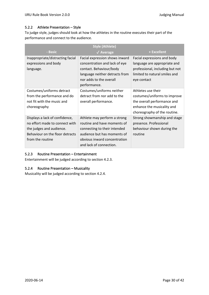#### <span id="page-29-0"></span>5.2.2 Athlete Presentation – Style

To judge style, judges should look at how the athletes in the routine executes their part of the performance and connect to the audience.

| <b>Style (Athlete)</b>           |                                |                                 |  |  |  |  |
|----------------------------------|--------------------------------|---------------------------------|--|--|--|--|
| <b>Basic</b>                     | $\sqrt{\phantom{a}}$ Average   | + Excellent                     |  |  |  |  |
| Inappropriate/distracting facial | Facial expression shows inward | Facial expressions and body     |  |  |  |  |
| expressions and body             | concentration and lack of eye  | language are appropriate and    |  |  |  |  |
| language.                        | contact. Behaviour/body        | professional, including but not |  |  |  |  |
|                                  | language neither detracts from | limited to natural smiles and   |  |  |  |  |
|                                  | nor adds to the overall        | eye contact                     |  |  |  |  |
|                                  | performance.                   |                                 |  |  |  |  |
| Costumes/uniforms detract        | Costumes/uniforms neither      | Athletes use their              |  |  |  |  |
| from the performance and do      | detract from nor add to the    | costumes/uniforms to improve    |  |  |  |  |
| not fit with the music and       | overall performance.           | the overall performance and     |  |  |  |  |
| choreography                     |                                | enhance the musicality and      |  |  |  |  |
|                                  |                                | choreography of the routine.    |  |  |  |  |
| Displays a lack of confidence,   | Athlete may perform a strong   | Strong showmanship and stage    |  |  |  |  |
| no effort made to connect with   | routine and have moments of    | presence. Professional          |  |  |  |  |
| the judges and audience.         | connecting to their intended   | behaviour shown during the      |  |  |  |  |
| Behaviour on the floor detracts  | audience but has moments of    | routine                         |  |  |  |  |
| from the routine                 | obvious inward concentration   |                                 |  |  |  |  |
|                                  | and lack of connection.        |                                 |  |  |  |  |

#### <span id="page-29-1"></span>5.2.3 Routine Presentation – Entertainment

Entertainment will be judged according to section [4.2.3.](#page-19-1)

#### <span id="page-29-2"></span>5.2.4 Routine Presentation – Musicality

Musicality will be judged according to section [4.2.4.](#page-20-0)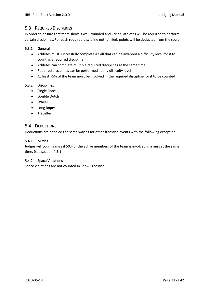# <span id="page-30-0"></span>5.3 REQUIRED DISCIPLINES

In order to ensure that team show is well-rounded and varied, athletes will be required to perform certain disciplines. For each required discipline not fulfilled, points will be deducted from the score.

#### <span id="page-30-1"></span>5.3.1 General

- Athletes must successfully complete a skill that can be awarded a difficulty level for it to count as a required discipline
- Athletes can complete multiple required disciplines at the same time
- Required disciplines can be performed at any difficulty level
- At least 75% of the team must be involved in the required discipline for it to be counted

#### <span id="page-30-2"></span>5.3.2 Disciplines

- Single Rope
- Double Dutch
- Wheel
- Long Ropes
- Traveller

# <span id="page-30-3"></span>5.4 DEDUCTIONS

Deductions are handled the same way as for other freestyle events with the following exception:

#### <span id="page-30-4"></span>5.4.1 Misses

Judges will count a miss if 50% of the active members of the team is involved in a miss at the same time. (see section [4.5.1\)](#page-24-2)

#### <span id="page-30-5"></span>5.4.2 Space Violations

Space violations are not counted in Show Freestyle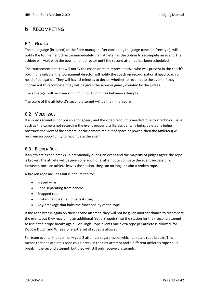# <span id="page-31-0"></span>6 RECOMPETING

# <span id="page-31-1"></span>6.1 GENERAL

The head judge (in speed) or the floor manager after consulting the judge panel (in freestyle), will notify the tournament director immediately if an athlete has the option to recompete an event. The athlete will wait with the tournament director until the second attempt has been scheduled.

The tournament director will notify the coach or team representative who was present in the coach's box. If unavailable, the tournament director will notify the coach on record, national head coach or head of delegation. They will have 5 minutes to decide whether to recompete the event. If they choose not to recompete, they will be given the score originally counted by the judges.

The athlete(s) will be given a minimum of 10 minutes between attempts.

The score of the athlete(s)'s second attempt will be their final score.

# <span id="page-31-2"></span>6.2 VIDEO ISSUE

If a video recount is not possible for speed, and the video recount is needed, due to a technical issue such as the camera not recording the event properly, a file accidentally being deleted, a judge obstructs the view of the camera, or the camera ran out of space or power, then the athlete(s) will be given an opportunity to recompete the event.

# <span id="page-31-3"></span>6.3 BROKEN ROPE

If an athlete's rope breaks unintentionally during an event and the majority of judges agree the rope is broken, the athlete will be given one additional attempt to compete the event successfully. However, once an athlete leaves the station, they can no longer claim a broken rope.

A broken rope includes but is not limited to:

- Frayed wire
- Rope separating from handle
- Snapped rope
- Broken handle (that impairs its use)
- Any breakage that halts the functionality of the rope.

If the rope breaks again on their second attempt, they will not be given another chance to recompete the event, but they may bring an additional (set of) rope(s) into the station for their second attempt to use if their rope breaks again. For Single Rope events one extra rope per athlete is allowed, for Double Dutch and Wheels one extra set of ropes is allowed.

For team events, the team only gets 2 attempts regardless of which athlete's rope breaks. This means that one athlete's rope could break in the first attempt and a different athlete's rope could break in the second attempt, but they will still only receive 2 attempts.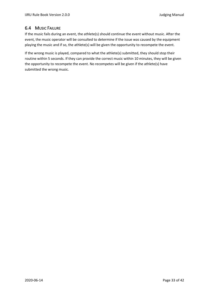# <span id="page-32-0"></span>6.4 MUSIC FAILURE

If the music fails during an event, the athlete(s) should continue the event without music. After the event, the music operator will be consulted to determine if the issue was caused by the equipment playing the music and if so, the athlete(s) will be given the opportunity to recompete the event.

If the wrong music is played, compared to what the athlete(s) submitted, they should stop their routine within 5 seconds. If they can provide the correct music within 10 minutes, they will be given the opportunity to recompete the event. No recompetes will be given if the athlete(s) have submitted the wrong music.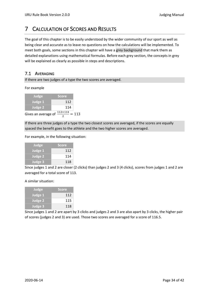# <span id="page-33-0"></span>7 CALCULATION OF SCORES AND RESULTS

The goal of this chapter is to be easily understood by the wider community of our sport as well as being clear and accurate as to leave no questions on how the calculations will be implemented. To meet both goals, some sections in this chapter will have a grey background that mark them as detailed explanations using mathematical formulas. Before each grey section, the concepts in grey will be explained as clearly as possible in steps and descriptions.

# <span id="page-33-1"></span>7.1 AVERAGING

If there are two judges of a type the two scores are averaged.

#### For example

| Judge          | <b>Score</b> |
|----------------|--------------|
| Judge 1        | 112          |
| <b>Judge 2</b> | 114          |
|                | .            |

Gives an average of  $\frac{112+114}{2}$  = 113

If there are three judges of a type the two closest scores are averaged, if the scores are equally spaced the benefit goes to the athlete and the two higher scores are averaged.

For example, in the following situation:

| Judge          | <b>Score</b> |
|----------------|--------------|
| Judge 1        | 112          |
| <b>Judge 2</b> | 114          |
| Judge 3        | 118          |

Since judges 1 and 2 are closer (2 clicks) than judges 2 and 3 (4 clicks), scores from judges 1 and 2 are averaged for a total score of 113.

A similar situation:

| Judge          | <b>Score</b> |  |  |
|----------------|--------------|--|--|
| Judge 1        | 112          |  |  |
| <b>Judge 2</b> | 115          |  |  |
| Judge 3        | 118          |  |  |

Since judges 1 and 2 are apart by 3 clicks and judges 2 and 3 are also apart by 3 clicks, the higher pair of scores (judges 2 and 3) are used. Those two scores are averaged for a score of 116.5.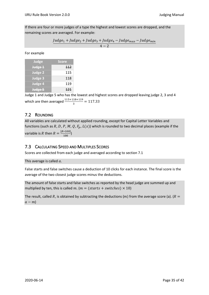If there are four or more judges of a type the highest and lowest scores are dropped, and the remaining scores are averaged. For example:

$$
\frac{Judge_{1}+Judge_{2}+Judge_{3}+Judge_{4}-Judge_{max}-Judge_{min}}{4-2}
$$

For example

| Judge              | <b>Score</b> |  |  |
|--------------------|--------------|--|--|
| Judge 1            | 112          |  |  |
| <b>Judge 2</b>     | 115          |  |  |
| Judge <sub>3</sub> | 118          |  |  |
| <b>Judge 4</b>     | 119          |  |  |
| Judge 5            | 121          |  |  |

Judge 1 and Judge 5 who has the lowest and highest scores are dropped leaving judge 2, 3 and 4 which are then averaged  $\frac{115+118+119}{3} = 117.33$ 

# <span id="page-34-0"></span>7.2 ROUNDING

All variables are calculated without applied rounding, except for Capital Letter Variables and functions (such as R, D, P, M, Q,  $F_p$ ,  $L(x)$ ) which is rounded to two decimal places (example if the variable is R then  $R = \frac{[R*100]}{100}$  $\frac{100}{100}$ 

# <span id="page-34-1"></span>7.3 CALCULATING SPEED AND MULTIPLES SCORES

Scores are collected from each judge and averaged according to sectio[n 7.1](#page-33-1)

This average is called  $a$ .

False starts and false switches cause a deduction of 10 clicks for each instance. The final score is the average of the two closest judge scores minus the deductions.

The amount of false starts and false switches as reported by the head judge are summed up and multiplied by ten, this is called  $m$ . ( $m = (starts + switches) \times 10$ )

The result, called R, is obtained by subtracting the deductions (m) from the average score (a). ( $R =$  $a - m$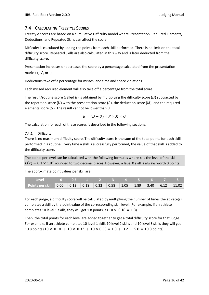# <span id="page-35-0"></span>7.4 CALCULATING FREESTYLE SCORES

Freestyle scores are based on a cumulative Difficulty model where Presentation, Required Elements, Deductions, and Repeated Skills can affect the score.

Difficulty is calculated by adding the points from each skill performed. There is no limit on the total difficulty score. Repeated Skills are also calculated in this way and is later deducted from the difficulty score.

Presentation increases or decreases the score by a percentage calculated from the presentation marks  $(+, \sqrt{0}$ , or -).

Deductions take off a percentage for misses, and time and space violations.

Each missed required element will also take off a percentage from the total score.

The result/routine score (called  $R$ ) is obtained by multiplying the difficulty score (D) subtracted by the repetition score  $(U)$  with the presentation score  $(P)$ , the deduction score  $(M)$ , and the required elements score  $(Q)$ . The result cannot be lower than 0.

$$
R = (D - U) \times P \times M \times Q
$$

The calculation for each of these scores is described in the following sections.

#### <span id="page-35-1"></span>7.4.1 Difficulty

There is no maximum difficulty score. The difficulty score is the sum of the total points for each skill performed in a routine. Every time a skill is successfully performed, the value of that skill is added to the difficulty score.

The points per level can be calculated with the following formulas where x is the level of the skill  $L(x) = 0.1 \times 1.8^x$  rounded to two decimal places. However, a level 0 skill is always worth 0 points.

The approximate point values per skill are:

| Points per skill 0.00 0.13 0.18 0.32 0.58 1.05 1.89 3.40 6.12 11.02 |  |  |  |  |  |
|---------------------------------------------------------------------|--|--|--|--|--|

For each judge, a difficulty score will be calculated by multiplying the number of times the athlete(s) completes a skill by the point value of the corresponding skill level. (For example, if an athlete completes 10 level 1 skills, they will get 1.8 points, as  $10 \times 0.18 = 1.8$ ).

Then, the total points for each level are added together to get a total difficulty score for that judge. For example, if an athlete completes 10 level 1 skill, 10 level 2 skills and 10 level 3 skills they will get 10.8 points ( $10 \times 0.18 + 10 \times 0.32 + 10 \times 0.58 = 1.8 + 3.2 + 5.8 = 10.8$  points).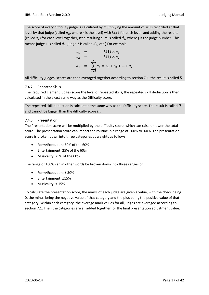The score of every difficulty judge is calculated by multiplying the amount of skills recorded at that level by that judge (called  $n_x$ , where x is the level) with  $L(x)$  for each level, and adding the results (called  $s_x$ ) for each level together, (the resulting sum is called  $d_j$ , where j is the judge number. This means judge 1 is called  $d_1$ , judge 2 is called  $d_2$ , etc.) For example:

$$
s_1 = L(1) \times n_1 \ns_2 = L(2) \times n_2 \nd_1 = \sum_{n=1}^{x} s_n = s_1 + s_2 + ... + s_x
$$

All difficulty judges' scores are then averaged together according to sectio[n 7.1,](#page-33-1) the result is called  $D$ 

#### <span id="page-36-0"></span>7.4.2 Repeated Skills

The Required Element judges score the level of repeated skills, the repeated skill deduction is then calculated in the exact same way as the Difficulty score.

The repeated skill deduction is calculated the same way as the Difficulty score. The result is called  $U$ and cannot be bigger than the difficulty score  $D$ .

#### <span id="page-36-1"></span>7.4.3 Presentation

The Presentation score will be multiplied by the difficulty score, which can raise or lower the total score. The presentation score can impact the routine in a range of +60% to -60%. The presentation score is broken down into three categories at weights as follows:

- Form/Execution: 50% of the 60%
- Entertainment: 25% of the 60%
- Musicality: 25% of the 60%

The range of ±60% can in other words be broken down into three ranges of:

- Form/Execution: ± 30%
- Entertainment: ±15%
- Musicality: ± 15%

To calculate the presentation score, the marks of each judge are given a value, with the check being 0, the minus being the negative value of that category and the plus being the positive value of that category. Within each category, the average mark values for all judges are averaged according to sectio[n 7.1.](#page-33-1) Then the categories are all added together for the final presentation adjustment value.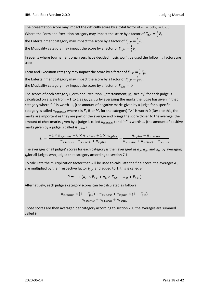The presentation score may impact the difficulty score by a total factor of  $F_p = 60\% = 0.60$ Where the Form and Execution category may impact the score by a factor of  $F_{p,F}=\frac{1}{2}$  $rac{1}{2}F_p$ , the Entertainment category may impact the score by a factor of  $F_{p,E}=\frac{1}{4}$  $rac{1}{4}F_p,$ the Musicality category may impact the score by a factor of  $F_{p,M}=\frac{1}{4}$  $\frac{1}{4}F_p$ 

In events where tournament organisers have decided music won't be used the following factors are used

Form and Execution category may impact the score by a factor of  $F_{p,F}=\frac{1}{2}$  $rac{1}{2}F_p$ , the Entertainment category may impact the score by a factor of  $F_{p,E}=\frac{1}{2}$  $rac{1}{2}F_p$ the Musicality category may impact the score by a factor of  $F_{p,M}=0$ 

The scores of each category (Form and Execution, Entertainment, Musicality) for each judge is calculated on a scale from  $-1$  to 1 as  $j_F$ ,  $j_F$ ,  $j_M$  by averaging the marks the judge has given in that category where "–" is worth -1, (the amount of negative marks given by a judge for a specific category is called  $n_{x\,minus minus}$  where x is F, E or M, for the category) " $\sqrt{ }$ " is worth 0 (Despite this, the marks are important as they are part of the average and brings the score closer to the average; the amount of checkmarks given by a judge is called  $n_{x, check}$ ) and "+" is worth 1. (the amount of positive marks given by a judge is called  $n_{x, plus}$ )

$$
j_x = \frac{-1 \times n_{x,minus} + 0 \times n_{x,check} + 1 \times n_{x,plus}}{n_{x,minus} + n_{x,check} + n_{x,plus}} = \frac{n_{x,plus} - n_{x,minus}}{n_{x,minus} + n_{x,check} + n_{x,plus}}
$$

The averages of all judges' scores for each category is then averaged as  $a_F$ ,  $a_E$ , and  $a_M$  by averaging  $f_{\chi}$ for all judges who judged that category according to section [7.1](#page-33-1)

To calculate the multiplication factor that will be used to calculate the final score, the averages  $a<sub>r</sub>$ are multiplied by their respective factor  $F_{p,x}$  and added to 1, this is called P.

 $P = 1 + (a_F \times F_{p,F} + a_E \times F_{p,E} + a_M + F_{p,M})$ 

Alternatively, each judge's category scores can be calculated as follows

$$
\frac{n_{x,minus} \times (1 - F_{p,x}) + n_{x,check} + n_{x,plus} \times (1 + F_{p,x})}{n_{x,minus} + n_{x,check} + n_{x,plus}}
$$

Those scores are then averaged per category according to sectio[n 7.1,](#page-33-1) the averages are summed called  $P$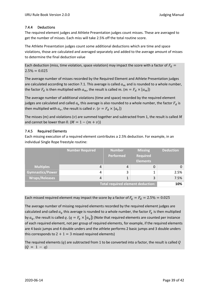## <span id="page-38-0"></span>7.4.4 Deductions

The required element judges and Athlete Presentation judges count misses. These are averaged to get the number of misses. Each miss will take 2.5% off the total routine score.

The Athlete Presentation judges count some additional deductions which are time and space violations, those are calculated and averaged separately and added to the average amount of misses to determine the final deduction value

Each deduction (miss, time violation, space violation) may impact the score with a factor of  $F_d =$  $2.5\% = 0.025$ 

The average number of misses recorded by the Required Element and Athlete Presentation judges are calculated according to sectio[n 7.1.](#page-33-1) This average is called  $a_m$  and is rounded to a whole number, the factor  $F_d$  is then multiplied with  $a_m$ , the result is called m. ( $m = F_d \times [a_m]$ )

The average number of additional violations (time and space) recorded by the required element judges are calculated and called  $a_v$  this average is also rounded to a whole number, the factor  $F_d$  is then multiplied with  $a_\nu$ , the result is called  $v.$   $(\nu = F_d \times [a_\nu])$ 

The misses ( $m$ ) and violations ( $v$ ) are summed together and subtracted from 1, the result is called M and cannot be lower than 0.  $(M = 1 - (m + v))$ 

## <span id="page-38-1"></span>7.4.5 Required Elements

Each missing execution of a required element contributes a 2.5% deduction. For example, in an individual Single Rope freestyle routine:

|                         | <b>Number Required</b> | <b>Number</b><br><b>Performed</b> | <b>Missing</b><br><b>Required</b><br><b>Elements</b> | <b>Deduction</b> |
|-------------------------|------------------------|-----------------------------------|------------------------------------------------------|------------------|
| <b>Multiples</b>        | 4                      | 4                                 |                                                      |                  |
| <b>Gymnastics/Power</b> | 4                      | 3                                 |                                                      | 2.5%             |
| <b>Wraps/Releases</b>   | 4                      | 1                                 | 3                                                    | 7.5%             |
|                         | 10%                    |                                   |                                                      |                  |

Each missed required element may impact the score by a factor of  $F_q = F_d = 2.5\% = 0.025$ 

The average number of missing required elements recorded by the required element judges are calculated and called  $a_a$  this average is rounded to a whole number, the factor  $F_a$  is then multiplied by  $a_a$ , the result is called  $q. (q = F_a \times a_a)$  (Note that required elements are counted per instance of each required element, not per group of required elements, for example, if the required elements are 4 basic jumps and 4 double unders and the athlete performs 2 basic jumps and 3 double unders this corresponds to  $2 + 1 = 3$  missed required elements)

The required elements (q) are subtracted from 1 to be converted into a factor, the result is called Q  $(Q = 1 - q)$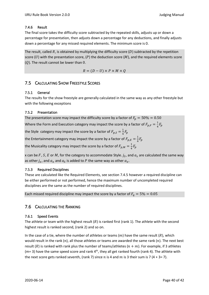#### <span id="page-39-0"></span>7.4.6 Result

The final score takes the difficulty score subtracted by the repeated skills, adjusts up or down a percentage for presentation, then adjusts down a percentage for any deductions, and finally adjusts down a percentage for any missed required elements. The minimum score is 0.

The result, called  $R$ , is obtained by multiplying the difficulty score (D) subtracted by the repetition score (U) with the presentation score, (P) the deduction score (M), and the required elements score  $(Q)$ . The result cannot be lower than 0.

$$
R = (D - U) \times P \times M \times Q
$$

# <span id="page-39-1"></span>7.5 CALCULATING SHOW FREESTYLE SCORES

#### <span id="page-39-2"></span>7.5.1 General

The results for the show freestyle are generally calculated in the same way as any other freestyle but with the following exceptions

#### <span id="page-39-3"></span>7.5.2 Presentation

The presentation score may impact the difficulty score by a factor of  $F_p = 50\% = 0.50$ 

Where the Form and Execution category may impact the score by a factor of  $F_{p,F}=\frac{1}{4}$  $rac{1}{4}F_p$ 

the Style category may impact the score by a factor of  $F_{p,S}=\frac{1}{4}$  $rac{1}{4}F_p$ 

the Entertainment category may impact the score by a factor of  $F_{p,E}=\frac{1}{4}$  $rac{1}{4}F_p$ 

the Musicality category may impact the score by a factor of  $F_{p,M}=\frac{1}{4}$  $rac{1}{4}F_p$ 

x can be  $F$  ,  $S$  ,  $E$  or  $M$  , for the category to accommodate Style.  $j_S$ , and  $a_{\scriptscriptstyle S}$  are calculated the same way as other  $j_x$ , and  $a_x$  and  $a_S$  is added to P the same way as other  $a_x$ .

#### <span id="page-39-4"></span>7.5.3 Required Disciplines

These are calculated like the Required Elements, see sectio[n 7.4.5](#page-38-1) however a required discipline can be either performed or not performed, hence the maximum number of uncompleted required disciplines are the same as the number of required disciplines.

Each missed required discipline may impact the score by a factor of  $F_a = 5\% = 0.05$ 

# <span id="page-39-5"></span>7.6 CALCULATING THE RANKING

#### <span id="page-39-6"></span>7.6.1 Speed Events

The athlete or team with the highest result  $(R)$  is ranked first (rank 1). The athlete with the second highest result is ranked second, (rank 2) and so on.

In the case of a tie, where the number of athletes or teams  $(m)$  have the same result  $(R)$ , which would result in the rank  $(n)$ , all those athletes or teams are awarded the same rank  $(n)$ . The next best result (R) is ranked with rank plus the number of teams/athletes ( $n + m$ ). For example, if 3 athletes (m= 3) have the same speed score and rank  $4<sup>th</sup>$ , they all get ranked fourth (rank 4). The athlete with the next score gets ranked seventh, (rank 7) since n is 4 and  $m$  is 3 their sum is 7 (4 + 3= 7).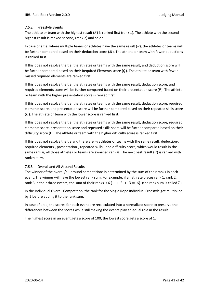#### <span id="page-40-0"></span>7.6.2 Freestyle Events

The athlete or team with the highest result  $(R)$  is ranked first (rank 1). The athlete with the second highest result is ranked second, (rank 2) and so on.

In case of a tie, where multiple teams or athletes have the same result  $(R)$ , the athletes or teams will be further compared based on their deduction score  $(M)$ . The athlete or team with fewer deductions is ranked first.

If this does not resolve the tie, the athletes or teams with the same result, and deduction score will be further compared based on their Required Elements score  $(Q)$ . The athlete or team with fewer missed required elements are ranked first.

If this does not resolve the tie, the athletes or teams with the same result, deduction score, and required elements score will be further compared based on their presentation score  $(P)$ . The athlete or team with the higher presentation score is ranked first.

If this does not resolve the tie, the athletes or teams with the same result, deduction score, required elements score, and presentation score will be further compared based on their repeated skills score  $(U)$ . The athlete or team with the lower score is ranked first.

If this does not resolve the tie, the athletes or teams with the same result, deduction score, required elements score, presentation score and repeated skills score will be further compared based on their difficulty score (D). The athlete or team with the higher difficulty score is ranked first.

If this does not resolve the tie and there are  $m$  athletes or teams with the same result, deduction-, required elements-, presentation-, repeated skills-, and difficulty score, which would result in the same rank  $n$ , all those athletes or teams are awarded rank  $n$ . The next best result (R) is ranked with rank  $n + m$ .

#### <span id="page-40-1"></span>7.6.3 Overall and All-Around Results

The winner of the overall/all-around competitions is determined by the sum of their ranks in each event. The winner will have the lowest rank sum. For example, if an athlete places rank 1, rank 2, rank 3 in their three events, the sum of their ranks is 6 (1 + 2 + 3 = 6). (the rank sum is called T)

In the Individual Overall Competition, the rank for the Single Rope Individual Freestyle get multiplied by 2 before adding it to the rank sum.

In case of a tie, the scores for each event are recalculated into a normalized score to preserve the differences between the scores while still making the events play an equal role in the result.

The highest score in an event gets a score of 100, the lowest score gets a score of 1.